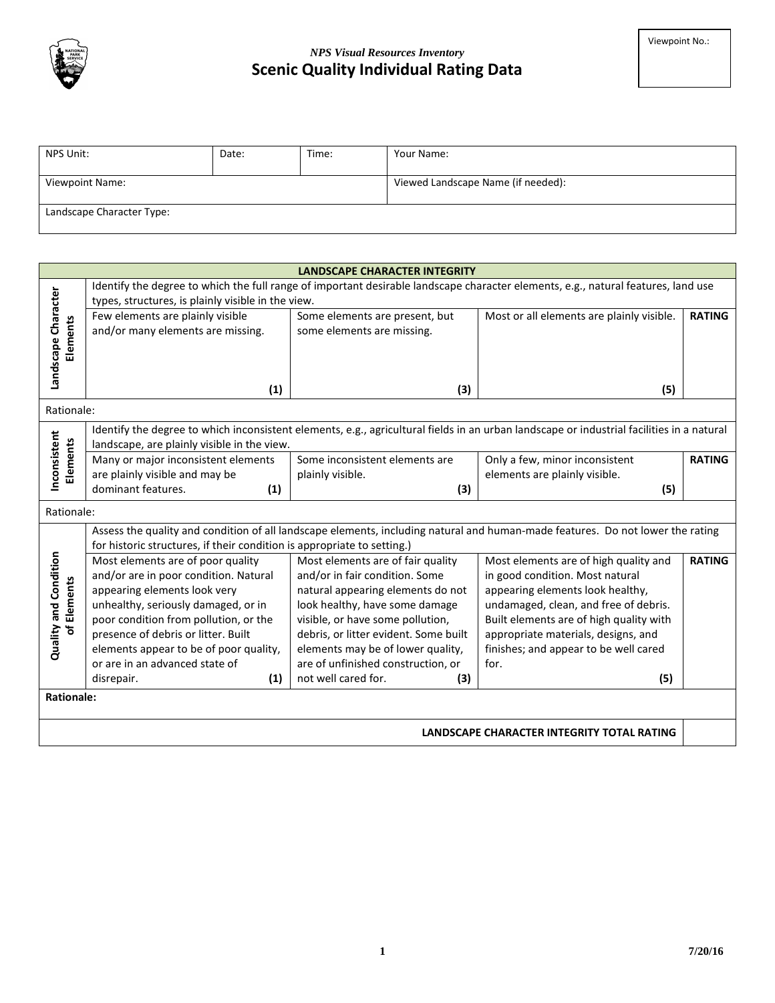

## *NPS Visual Resources Inventory* **Scenic Quality Individual Rating Data**

| NPS Unit:                 | Date: | Time: | Your Name:                         |
|---------------------------|-------|-------|------------------------------------|
| <b>Viewpoint Name:</b>    |       |       | Viewed Landscape Name (if needed): |
| Landscape Character Type: |       |       |                                    |

|                                                                                                                                   | <b>LANDSCAPE CHARACTER INTEGRITY</b>                                                                                                      |                                       |                                                                                                                                |               |  |  |
|-----------------------------------------------------------------------------------------------------------------------------------|-------------------------------------------------------------------------------------------------------------------------------------------|---------------------------------------|--------------------------------------------------------------------------------------------------------------------------------|---------------|--|--|
| Identify the degree to which the full range of important desirable landscape character elements, e.g., natural features, land use |                                                                                                                                           |                                       |                                                                                                                                |               |  |  |
|                                                                                                                                   | types, structures, is plainly visible in the view.                                                                                        |                                       |                                                                                                                                |               |  |  |
|                                                                                                                                   | Few elements are plainly visible                                                                                                          | Some elements are present, but        | Most or all elements are plainly visible.                                                                                      | <b>RATING</b> |  |  |
|                                                                                                                                   | and/or many elements are missing.                                                                                                         | some elements are missing.            |                                                                                                                                |               |  |  |
| Elements                                                                                                                          |                                                                                                                                           |                                       |                                                                                                                                |               |  |  |
|                                                                                                                                   |                                                                                                                                           |                                       |                                                                                                                                |               |  |  |
| Landscape Character                                                                                                               |                                                                                                                                           |                                       |                                                                                                                                |               |  |  |
|                                                                                                                                   | (1)                                                                                                                                       | (3)                                   | (5)                                                                                                                            |               |  |  |
|                                                                                                                                   | Rationale:                                                                                                                                |                                       |                                                                                                                                |               |  |  |
|                                                                                                                                   | Identify the degree to which inconsistent elements, e.g., agricultural fields in an urban landscape or industrial facilities in a natural |                                       |                                                                                                                                |               |  |  |
| Inconsistent<br>Elements                                                                                                          | landscape, are plainly visible in the view.                                                                                               |                                       |                                                                                                                                |               |  |  |
|                                                                                                                                   | Many or major inconsistent elements                                                                                                       | Some inconsistent elements are        | Only a few, minor inconsistent                                                                                                 | <b>RATING</b> |  |  |
|                                                                                                                                   | are plainly visible and may be                                                                                                            | plainly visible.                      | elements are plainly visible.                                                                                                  |               |  |  |
|                                                                                                                                   | dominant features.<br>(1)                                                                                                                 | (3)                                   | (5)                                                                                                                            |               |  |  |
|                                                                                                                                   | Rationale:                                                                                                                                |                                       |                                                                                                                                |               |  |  |
|                                                                                                                                   |                                                                                                                                           |                                       | Assess the quality and condition of all landscape elements, including natural and human-made features. Do not lower the rating |               |  |  |
|                                                                                                                                   | for historic structures, if their condition is appropriate to setting.)                                                                   |                                       |                                                                                                                                |               |  |  |
| Quality and Condition                                                                                                             | Most elements are of poor quality                                                                                                         | Most elements are of fair quality     | Most elements are of high quality and                                                                                          | <b>RATING</b> |  |  |
|                                                                                                                                   | and/or are in poor condition. Natural                                                                                                     | and/or in fair condition. Some        | in good condition. Most natural                                                                                                |               |  |  |
|                                                                                                                                   | appearing elements look very                                                                                                              | natural appearing elements do not     | appearing elements look healthy,                                                                                               |               |  |  |
| of Elements                                                                                                                       | unhealthy, seriously damaged, or in                                                                                                       | look healthy, have some damage        | undamaged, clean, and free of debris.                                                                                          |               |  |  |
|                                                                                                                                   | poor condition from pollution, or the                                                                                                     | visible, or have some pollution,      | Built elements are of high quality with                                                                                        |               |  |  |
|                                                                                                                                   | presence of debris or litter. Built                                                                                                       | debris, or litter evident. Some built | appropriate materials, designs, and                                                                                            |               |  |  |
|                                                                                                                                   | elements appear to be of poor quality,                                                                                                    | elements may be of lower quality,     | finishes; and appear to be well cared                                                                                          |               |  |  |
|                                                                                                                                   | or are in an advanced state of                                                                                                            | are of unfinished construction, or    | for.                                                                                                                           |               |  |  |
|                                                                                                                                   | (1)<br>disrepair.                                                                                                                         | not well cared for.<br>(3)            | (5)                                                                                                                            |               |  |  |
| <b>Rationale:</b>                                                                                                                 |                                                                                                                                           |                                       |                                                                                                                                |               |  |  |
|                                                                                                                                   |                                                                                                                                           |                                       |                                                                                                                                |               |  |  |
| LANDSCAPE CHARACTER INTEGRITY TOTAL RATING                                                                                        |                                                                                                                                           |                                       |                                                                                                                                |               |  |  |
|                                                                                                                                   |                                                                                                                                           |                                       |                                                                                                                                |               |  |  |